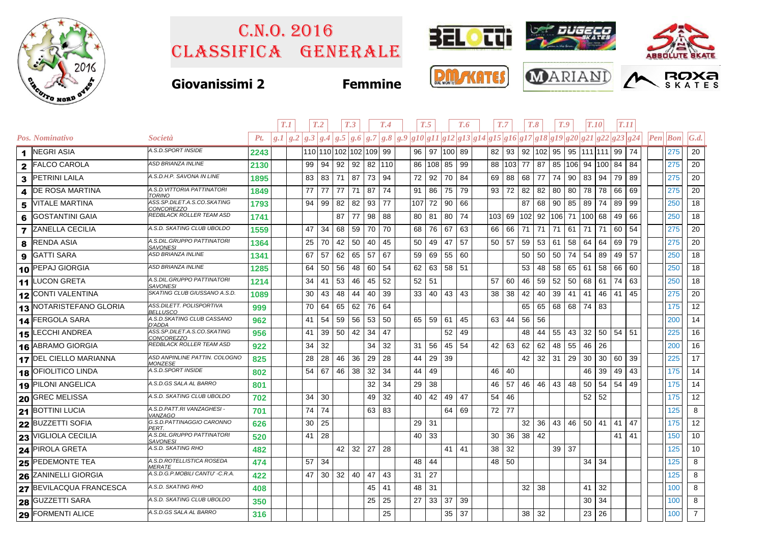

## Classifica generale C.n.o. 2016



## **Giovanissimi 2 Femmine**







|              |                         |                                                  | T.1<br>T <sub>.2</sub><br>T <sub>.3</sub><br>T.4<br>T.5 |  | T.7<br>T.6                                                                                        |    |    |                        |        | $T_{\cdot}8$ |     | T.9<br>T.10 |              |    | T.11 |         |        |                 |                 |                 |     |                 |    |    |    |                                         |                    |
|--------------|-------------------------|--------------------------------------------------|---------------------------------------------------------|--|---------------------------------------------------------------------------------------------------|----|----|------------------------|--------|--------------|-----|-------------|--------------|----|------|---------|--------|-----------------|-----------------|-----------------|-----|-----------------|----|----|----|-----------------------------------------|--------------------|
|              | Pos. Nominativo         | Società                                          | Pt.                                                     |  | $g.1 g.2 g.3 g.4 g.5 g.6 g.7 g.8 g.9 g10 g11 g12 g13 g14 g15 g16 g17 g18 g19 g20 g21 g22 g23 g24$ |    |    |                        |        |              |     |             |              |    |      |         |        |                 |                 |                 |     |                 |    |    |    | $\left  Pen\right $ $\left  Bon\right $ | $\vert G.d. \vert$ |
|              | 1 NEGRI ASIA            | A.S.D.SPORT INSIDE                               | 2243                                                    |  |                                                                                                   |    |    | 110 110 102 102 109 99 |        |              |     |             | 96 97 100 89 |    |      |         |        | 82 93 92 102 95 |                 |                 |     | 95 111 111 99   |    |    | 74 | 275                                     | 20                 |
|              | 2 FALCO CAROLA          | <b>ASD BRIANZA INLINE</b>                        | 2130                                                    |  | 99                                                                                                | 94 | 92 | 92                     | 82 110 |              | 86  | 108 85      |              | 99 |      | 88      | 103 77 |                 | 87              | 85              | 106 | 94 100          |    | 84 | 84 | 275                                     | 20 <sup>1</sup>    |
|              | 3 PETRINI LAILA         | A.S.D.H.P. SAVONA IN LINE                        | 1895                                                    |  | 83                                                                                                | 83 | 71 | 87                     | 73     | 94           | 72  | 92          | 70           | 84 |      | 69      | 88 68  |                 | 77              | 74              | 90  | 83 94           |    | 79 | 89 | 275                                     | 20                 |
| 4            | <b>DE ROSA MARTINA</b>  | A.S.D. VITTORIA PATTINATORI<br><b>TORINO</b>     | 1849                                                    |  | 77                                                                                                | 77 | 77 | 71                     | 87     | 74           | 91  | 86          | 75           | 79 |      | 93      | 72     | 82              | 82              | 80              | 80  | 78              | 78 | 66 | 69 | 275                                     | 20                 |
| 5            | <b>VITALE MARTINA</b>   | ASS.SP.DILET.A.S.CO.SKATING<br>CONCOREZZO        | 1793                                                    |  | 94                                                                                                | 99 | 82 | 82                     | 93     | 77           | 107 | 72          | 90   66      |    |      |         |        | 87              | 68              | 90              | 85  | 89              | 74 | 89 | 99 | 250                                     | 18                 |
| 6            | <b>GOSTANTINI GAIA</b>  | REDBLACK ROLLER TEAM ASD                         | 1741                                                    |  |                                                                                                   |    | 87 | 77                     | 98     | 88           | 80  | 81          | 80           | 74 |      | 103 69  |        | 102             |                 | 92 106          | 71  | 100 68          |    | 49 | 66 | 250                                     | 18                 |
| $\mathbf{7}$ | <b>ZANELLA CECILIA</b>  | A.S.D. SKATING CLUB UBOLDO                       | 1559                                                    |  | 47                                                                                                | 34 | 68 | 59                     | 70     | 70           | 68  | 76          | 67           | 63 |      | 66      | 66     | 71              | 71              | 71              | 61  | 71 71           |    | 60 | 54 | 275                                     | 20                 |
| 8            | <b>RENDA ASIA</b>       | A.S.DIL.GRUPPO PATTINATORI<br><b>SAVONESI</b>    | 1364                                                    |  | 25                                                                                                | 70 | 42 | 50                     | 40     | 45           | 50  | 49          | 47           | 57 |      | 50   57 |        | 59              | 53 61           |                 | 58  | 64 64           |    | 69 | 79 | 275                                     | 20                 |
| 9            | <b>GATTI SARA</b>       | <b>ASD BRIANZA INLINE</b>                        | 1341                                                    |  | 67                                                                                                | 57 | 62 | 65                     | 57     | 67           | 59  | 69          | 55           | 60 |      |         |        | 50              | 50 <sub>1</sub> | 50              | 74  | $54 \mid$       | 89 | 49 | 57 | 250                                     | 18                 |
|              | 10 PEPAJ GIORGIA        | <b>ASD BRIANZA INLINE</b>                        | 1285                                                    |  | 64                                                                                                | 50 | 56 | 48                     | 60     | 54           | 62  | 63          | $58$   51    |    |      |         |        | 53              | 48              | 58              | 65  | 61              | 58 | 66 | 60 | 250                                     | 18                 |
|              | 11 LUCON GRETA          | A.S.DIL.GRUPPO PATTINATORI<br><b>SAVONESI</b>    | 1214                                                    |  | 34                                                                                                | 41 | 53 | 46                     | 45     | 52           | 52  | 51          |              |    |      | 57      | 60     | 46              | 59              | 52              | 50  | 68              | 61 | 74 | 63 | 250                                     | 18                 |
|              | 12 CONTI VALENTINA      | SKATING CLUB GIUSSANO A.S.D.                     | 1089                                                    |  | 30                                                                                                | 43 | 48 | 44                     | 40     | 39           | 33  | 40          | 43           | 43 |      | 38      | 38     | 42              | 40              | 39              | 41  | 41              | 46 | 41 | 45 | 275                                     | 20                 |
|              | 13 NOTARISTEFANO GLORIA | ASS.DILETT. POLISPORTIVA<br><b>BELLUSCO</b>      | 999                                                     |  | 70                                                                                                | 64 | 65 | 62                     | 76     | 64           |     |             |              |    |      |         |        | 65              | 65              | 68              | 68  | 74 83           |    |    |    | 175                                     | 12                 |
|              | 14 FERGOLA SARA         | A.S.D.SKATING CLUB CASSANO<br>D'ADDA             | 962                                                     |  | 41                                                                                                | 54 | 59 | 56                     | 53     | 50           | 65  | 59          | 61           | 45 |      | 63      | 44     | 56              | 56              |                 |     |                 |    |    |    | 200                                     | 14                 |
|              | 15 LECCHI ANDREA        | ASS.SP.DILET.A.S.CO.SKATING<br><b>CONCOREZZO</b> | 956                                                     |  | 41                                                                                                | 39 | 50 | 42                     | 34     | 47           |     |             | 52           | 49 |      |         |        | 48              | 44              | 55              | 43  | 32              | 50 | 54 | 51 | 225                                     | 16                 |
|              | 16 ABRAMO GIORGIA       | REDBLACK ROLLER TEAM ASD                         | 922                                                     |  | 34                                                                                                | 32 |    |                        | 34     | 32           | 31  | 56          | 45 54        |    |      | 42 63   |        | 62              | 62              | 48              | 55  | 46 26           |    |    |    | 200                                     | 16                 |
|              | 17 DEL CIELLO MARIANNA  | ASD ANPINLINE PATTIN. COLOGNO<br><b>MONZESE</b>  | 825                                                     |  | 28                                                                                                | 28 | 46 | 36                     | 29     | 28           | 44  | 29          | 39           |    |      |         |        | 42              | $32 \mid 31$    |                 | 29  | 30 <sup>1</sup> | 30 | 60 | 39 | 225                                     | 17                 |
|              | 18 OFIOLITICO LINDA     | A.S.D.SPORT INSIDE                               | 802                                                     |  | 54                                                                                                | 67 | 46 | 38                     | 32     | 34           | 44  | 49          |              |    |      | 46      | 40     |                 |                 |                 |     | 46              | 39 | 49 | 43 | 175                                     | 14                 |
|              | 19 PILONI ANGELICA      | A.S.D.GS SALA AL BARRO                           | 801                                                     |  |                                                                                                   |    |    |                        | 32     | 34           | 29  | 38          |              |    |      | 46      | - 57   | 46              | 46              | 43              | 48  | 50 <sup>1</sup> | 54 | 54 | 49 | 175                                     | 14                 |
|              | 20 GREC MELISSA         | A.S.D. SKATING CLUB UBOLDO                       | 702                                                     |  | 34                                                                                                | 30 |    |                        | 49     | 32           | 40  | 42          | 49           | 47 |      | 54      | 46     |                 |                 |                 |     | $52$ 52         |    |    |    | 175                                     | 12                 |
|              | 21 BOTTINI LUCIA        | A.S.D.PATT.RI VANZAGHESI -<br><b>VANZAGO</b>     | 701                                                     |  | 74                                                                                                | 74 |    |                        | 63     | 83           |     |             | 64           | 69 |      | 72 77   |        |                 |                 |                 |     |                 |    |    |    | 125                                     | 8                  |
|              | 22 BUZZETTI SOFIA       | G.S.D.PATTINAGGIO CARONNO<br>PERT.               | 626                                                     |  | 30                                                                                                | 25 |    |                        |        |              | 29  | 31          |              |    |      |         |        | 32              | 36              | 43              | 46  | 50              | 41 | 41 | 47 | 175                                     | 12 <sup>2</sup>    |
|              | 23 VIGLIOLA CECILIA     | A.S.DIL.GRUPPO PATTINATORI<br><b>SAVONESI</b>    | 520                                                     |  | 41                                                                                                | 28 |    |                        |        |              | 40  | 33          |              |    |      | 30      | 36     | 38              | 42              |                 |     |                 |    | 41 | 41 | 150                                     | 10 <sup>1</sup>    |
|              | 24 PIROLA GRETA         | A.S.D. SKATING RHO                               | 482                                                     |  |                                                                                                   |    | 42 | 32                     | 27     | 28           |     |             | 41           | 41 |      | 38      | 32     |                 |                 | 39 <sup>1</sup> | 37  |                 |    |    |    | 125                                     | 10 <sup>1</sup>    |
|              | 25 PEDEMONTE TEA        | A.S.D.ROTELLISTICA ROSEDA<br><i>MERATE</i>       | 474                                                     |  | 57                                                                                                | 34 |    |                        |        |              | 48  | 44          |              |    |      | 48      | 50     |                 |                 |                 |     | 34              | 34 |    |    | 125                                     | 8                  |
|              | 26 ZANINELLI GIORGIA    | A.S.D.G.P.MOBILI CANTU' -C.R.A.                  | 422                                                     |  | 47                                                                                                | 30 | 32 | 40                     | 47     | 43           | 31  | 27          |              |    |      |         |        |                 |                 |                 |     |                 |    |    |    | 125                                     | 8                  |
|              | 27 BEVILACQUA FRANCESCA | A.S.D. SKATING RHO                               | 408                                                     |  |                                                                                                   |    |    |                        | 45     | 41           | 48  | 31          |              |    |      |         |        | 32              | -38             |                 |     | 41              | 32 |    |    | 100                                     | 8                  |
|              | 28 GUZZETTI SARA        | A.S.D. SKATING CLUB UBOLDO                       | 350                                                     |  |                                                                                                   |    |    |                        | 25     | 25           | 27  | 33          | 37           | 39 |      |         |        |                 |                 |                 |     | 30              | 34 |    |    | 100                                     | 8                  |
|              | 29 FORMENTI ALICE       | A.S.D.GS SALA AL BARRO                           | 316                                                     |  |                                                                                                   |    |    |                        |        | 25           |     |             | $35 \mid 37$ |    |      |         |        | 38              | 32              |                 |     | 23              | 26 |    |    | 100                                     | 7 <sup>1</sup>     |
|              |                         |                                                  |                                                         |  |                                                                                                   |    |    |                        |        |              |     |             |              |    |      |         |        |                 |                 |                 |     |                 |    |    |    |                                         |                    |